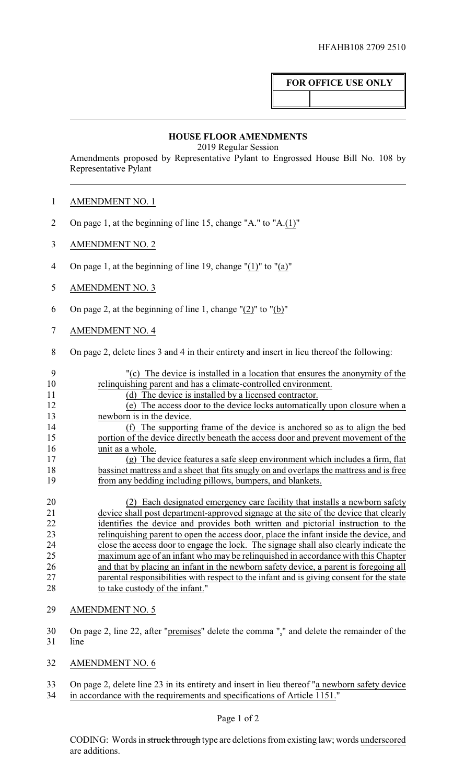## **FOR OFFICE USE ONLY**

## **HOUSE FLOOR AMENDMENTS**

2019 Regular Session

Amendments proposed by Representative Pylant to Engrossed House Bill No. 108 by Representative Pylant

- 2 On page 1, at the beginning of line 15, change "A." to "A.(1)"
- 3 AMENDMENT NO. 2
- 4 On page 1, at the beginning of line 19, change "(1)" to "(a)"
- 5 AMENDMENT NO. 3
- 6 On page 2, at the beginning of line 1, change "(2)" to "(b)"
- 7 AMENDMENT NO. 4
- 8 On page 2, delete lines 3 and 4 in their entirety and insert in lieu thereof the following:

| -9            | "(c) The device is installed in a location that ensures the anonymity of the                                        |
|---------------|---------------------------------------------------------------------------------------------------------------------|
| 10            | relinquishing parent and has a climate-controlled environment.                                                      |
| 11            | (d) The device is installed by a licensed contractor.                                                               |
| 12            | (e) The access door to the device locks automatically upon closure when a                                           |
| 13            | newborn is in the device.                                                                                           |
| 14            | The supporting frame of the device is anchored so as to align the bed<br>(f)                                        |
| 15            | portion of the device directly beneath the access door and prevent movement of the                                  |
| 16            | unit as a whole.                                                                                                    |
| 17            | (g) The device features a safe sleep environment which includes a firm, flat                                        |
| 18            | bassinet mattress and a sheet that fits snugly on and overlaps the mattress and is free                             |
| 19            | from any bedding including pillows, bumpers, and blankets.                                                          |
|               |                                                                                                                     |
| 20            | Each designated emergency care facility that installs a newborn safety<br>(2)                                       |
| 21            | device shall post department-approved signage at the site of the device that clearly                                |
| $\sim$ $\sim$ | records and the state of the state of the state of the state of the state of the state of the state of the state of |

22 identifies the device and provides both written and pictorial instruction to the relinquishing parent to open the access door, place the infant inside the device, and close the access door to engage the lock. The signage shall also clearly indicate the maximum age of an infant who may be relinquished in accordance with this Chapter and that by placing an infant in the newborn safety device, a parent is foregoing all parental responsibilities with respect to the infant and is giving consent for the state to take custody of the infant."

- 29 AMENDMENT NO. 5
- 30 On page 2, line 22, after "premises" delete the comma "," and delete the remainder of the 31 line
- 32 AMENDMENT NO. 6
- 33 On page 2, delete line 23 in its entirety and insert in lieu thereof "a newborn safety device 34 in accordance with the requirements and specifications of Article 1151."

## Page 1 of 2

CODING: Words in struck through type are deletions from existing law; words underscored are additions.